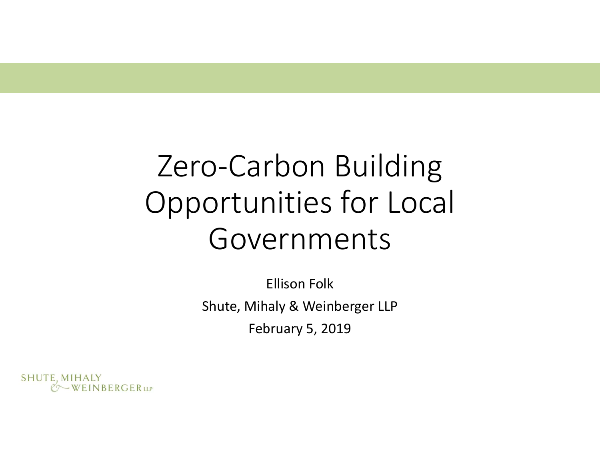# Zero-Carbon Building Opportunities for Local Governments

Ellison Folk Shute, Mihaly & Weinberger LLP February 5, 2019

SHUTE, MIHALY WEINBERGERLLP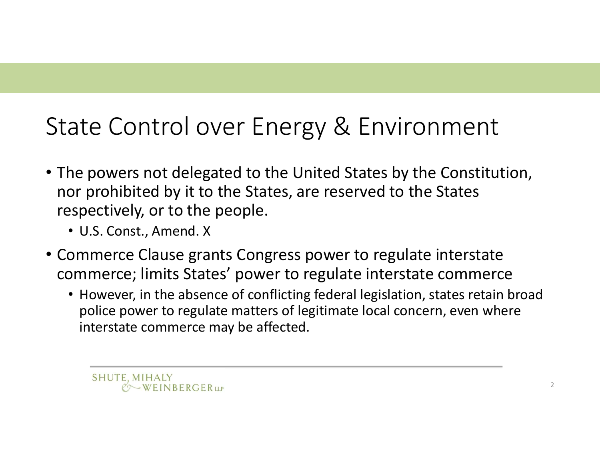#### State Control over Energy & Environment

- The powers not delegated to the United States by the Constitution, nor prohibited by it to the States, are reserved to the States respectively, or to the people.
	- U.S. Const., Amend. X
- Commerce Clause grants Congress power to regulate interstate commerce; limits States' power to regulate interstate commerce
	- However, in the absence of conflicting federal legislation, states retain broad police power to regulate matters of legitimate local concern, even where interstate commerce may be affected.

SHUTE, MIHALY  $Q$  WEINBERGERLLP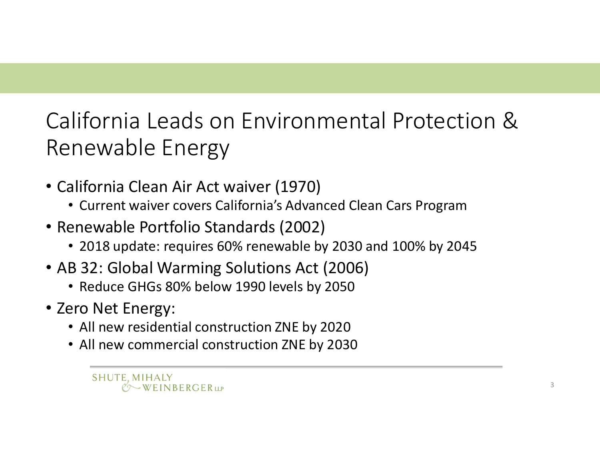#### California Leads on Environmental Protection & Renewable Energy

- California Clean Air Act waiver (1970)
	- Current waiver covers California's Advanced Clean Cars Program
- Renewable Portfolio Standards (2002)
	- 2018 update: requires 60% renewable by 2030 and 100% by 2045
- AB 32: Global Warming Solutions Act (2006)
	- Reduce GHGs 80% below 1990 levels by 2050
- Zero Net Energy:
	- All new residential construction ZNE by 2020
	- All new commercial construction ZNE by 2030

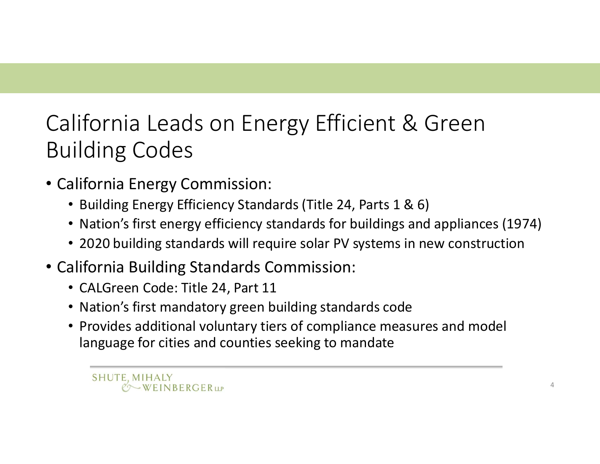# California Leads on Energy Efficient & Green Building Codes lifornia Leads on Energy Efficient<br>
ilding Codes<br>
alifornia Energy Commission:<br>
• Building Energy Efficiency Standards (Title 24, Parts<br>
• Nation's first energy efficiency standards for buildin<br>
• 2020 building standards w

- California Energy Commission:
	- Building Energy Efficiency Standards (Title 24, Parts 1 & 6)
	- Nation's first energy efficiency standards for buildings and appliances (1974)
	- 2020 building standards will require solar PV systems in new construction
- California Building Standards Commission:
	-
	- Nation's first mandatory green building standards code
	- Provides additional voluntary tiers of compliance measures and model language for cities and counties seeking to mandate

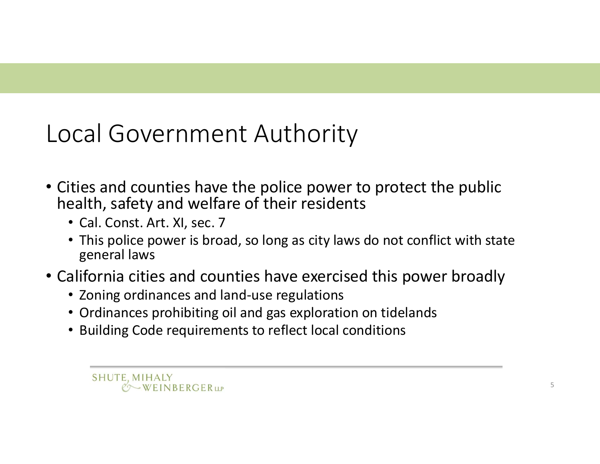#### Local Government Authority

- Cities and counties have the police power to protect the public health, safety and welfare of their residents
	- Cal. Const. Art. XI, sec. 7
	- This police power is broad, so long as city laws do not conflict with state general laws
- California cities and counties have exercised this power broadly
	- Zoning ordinances and land-use regulations
	- Ordinances prohibiting oil and gas exploration on tidelands
	- Building Code requirements to reflect local conditions

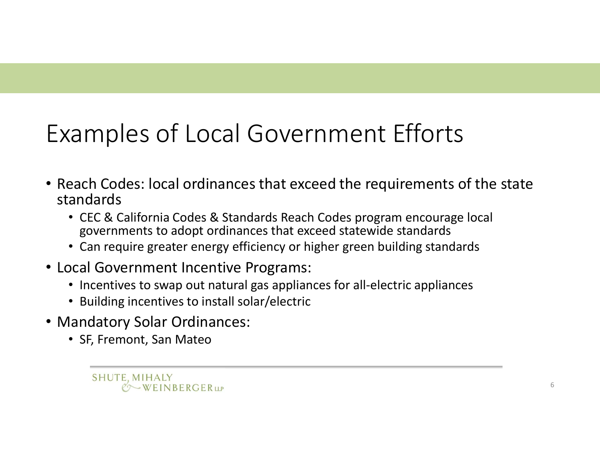# Examples of Local Government Efforts

- Reach Codes: local ordinances that exceed the requirements of the state standards
	- CEC & California Codes & Standards Reach Codes program encourage local governments to adopt ordinances that exceed statewide standards
	- Can require greater energy efficiency or higher green building standards
- Local Government Incentive Programs:
	- Incentives to swap out natural gas appliances for all-electric appliances
	- Building incentives to install solar/electric
- Mandatory Solar Ordinances:
	- SF, Fremont, San Mateo

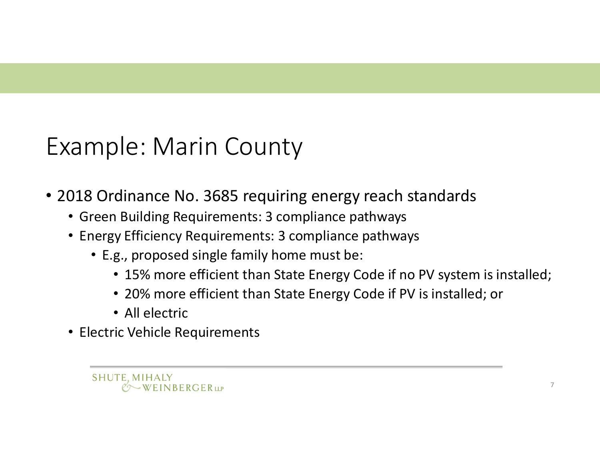#### Example: Marin County

- 2018 Ordinance No. 3685 requiring energy reach standards
	- Green Building Requirements: 3 compliance pathways
	- Energy Efficiency Requirements: 3 compliance pathways
		- E.g., proposed single family home must be:
			- 15% more efficient than State Energy Code if no PV system is installed;
			- 20% more efficient than State Energy Code if PV is installed; or
			- All electric
	- Electric Vehicle Requirements

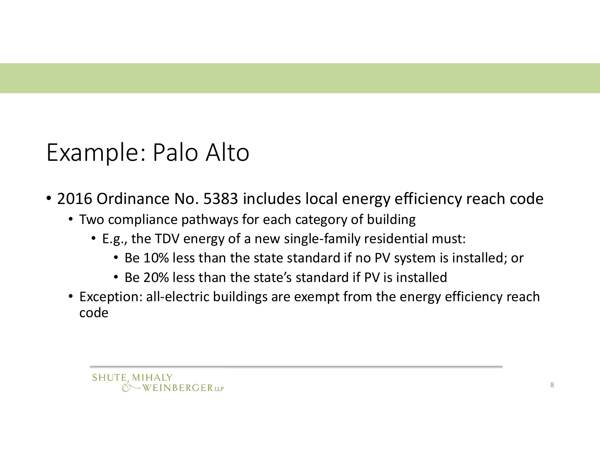#### Example: Palo Alto

• 2016 Ordinance No. 5383 includes local energy efficiency reach code

- Two compliance pathways for each category of building
	- E.g., the TDV energy of a new single-family residential must:
		- Be 10% less than the state standard if no PV system is installed; or
		- Be 20% less than the state's standard if PV is installed
- Exception: all-electric buildings are exempt from the energy efficiency reach code

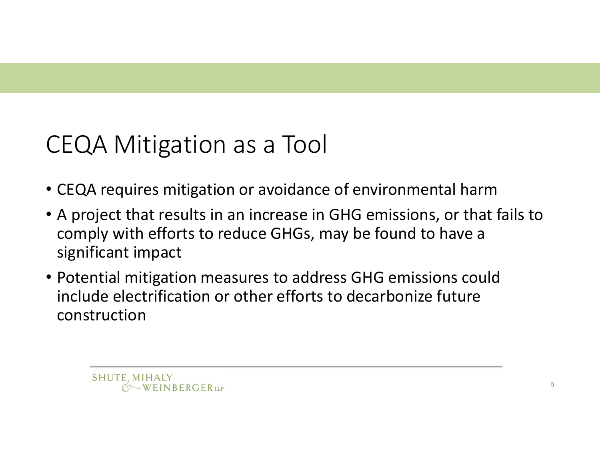# CEQA Mitigation as a Tool

- CEQA requires mitigation or avoidance of environmental harm
- A project that results in an increase in GHG emissions, or that fails to comply with efforts to reduce GHGs, may be found to have a significant impact
- Potential mitigation measures to address GHG emissions could include electrification or other efforts to decarbonize future construction

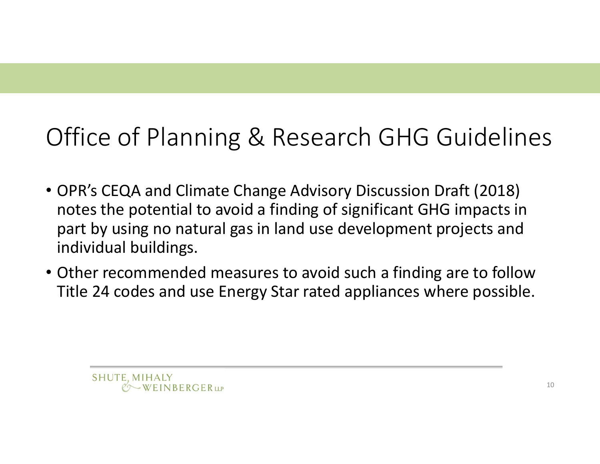# Office of Planning & Research GHG Guidelines

- OPR's CEQA and Climate Change Advisory Discussion Draft (2018) notes the potential to avoid a finding of significant GHG impacts in part by using no natural gas in land use development projects and individual buildings.
- Other recommended measures to avoid such a finding are to follow Title 24 codes and use Energy Star rated appliances where possible.